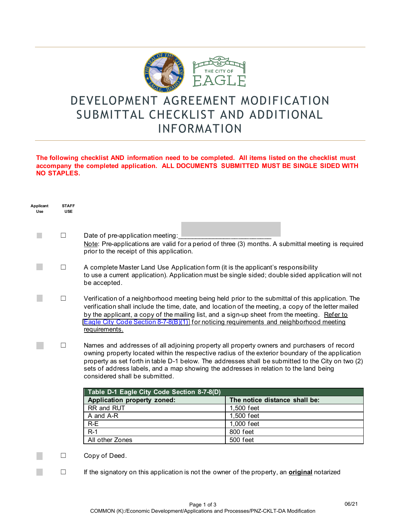

## DEVELOPMENT AGREEMENT MODIFICATION SUBMITTAL CHECKLIST AND ADDITIONAL INFORMATION

## **The following checklist AND information need to be completed. All items listed on the checklist must accompany the completed application. ALL DOCUMENTS SUBMITTED MUST BE SINGLE SIDED WITH NO STAPLES.**

| Applicant<br>Use | <b>STAFF</b><br><b>USE</b> |                                                                                                                                                                                                                                                                                                                                                                                                                                |                               |  |
|------------------|----------------------------|--------------------------------------------------------------------------------------------------------------------------------------------------------------------------------------------------------------------------------------------------------------------------------------------------------------------------------------------------------------------------------------------------------------------------------|-------------------------------|--|
|                  |                            |                                                                                                                                                                                                                                                                                                                                                                                                                                |                               |  |
|                  | $\overline{\phantom{a}}$   | Date of pre-application meeting:<br>Note: Pre-applications are valid for a period of three (3) months. A submittal meeting is required<br>prior to the receipt of this application.                                                                                                                                                                                                                                            |                               |  |
|                  | $\Box$                     | A complete Master Land Use Application form (it is the applicant's responsibility<br>to use a current application). Application must be single sided; double sided application will not<br>be accepted.                                                                                                                                                                                                                        |                               |  |
|                  | ш                          | Verification of a neighborhood meeting being held prior to the submittal of this application. The<br>verification shall include the time, date, and location of the meeting, a copy of the letter mailed<br>by the applicant, a copy of the mailing list, and a sign-up sheet from the meeting. Refer to<br><b>Eagle City Code Section 8-7-8(B)(1) for noticing requirements and neighborhood meeting</b><br>requirements.     |                               |  |
|                  | $\overline{\phantom{a}}$   | Names and addresses of all adjoining property all property owners and purchasers of record<br>owning property located within the respective radius of the exterior boundary of the application<br>property as set forth in table D-1 below. The addresses shall be submitted to the City on two (2)<br>sets of address labels, and a map showing the addresses in relation to the land being<br>considered shall be submitted. |                               |  |
|                  |                            | Table D-1 Eagle City Code Section 8-7-8(D)                                                                                                                                                                                                                                                                                                                                                                                     |                               |  |
|                  |                            | Application property zoned:                                                                                                                                                                                                                                                                                                                                                                                                    | The notice distance shall be: |  |
|                  |                            | RR and RUT                                                                                                                                                                                                                                                                                                                                                                                                                     | 1,500 feet                    |  |
|                  |                            | A and A-R                                                                                                                                                                                                                                                                                                                                                                                                                      | 1,500 feet                    |  |
|                  |                            | $R-E$                                                                                                                                                                                                                                                                                                                                                                                                                          | 1,000 feet                    |  |
|                  |                            | $R-1$                                                                                                                                                                                                                                                                                                                                                                                                                          | 800 feet                      |  |
|                  |                            | All other Zones                                                                                                                                                                                                                                                                                                                                                                                                                | 500 feet                      |  |
|                  | Ш                          | Copy of Deed.                                                                                                                                                                                                                                                                                                                                                                                                                  |                               |  |
|                  |                            | If the signatory on this application is not the owner of the property, an <b>original</b> notarized                                                                                                                                                                                                                                                                                                                            |                               |  |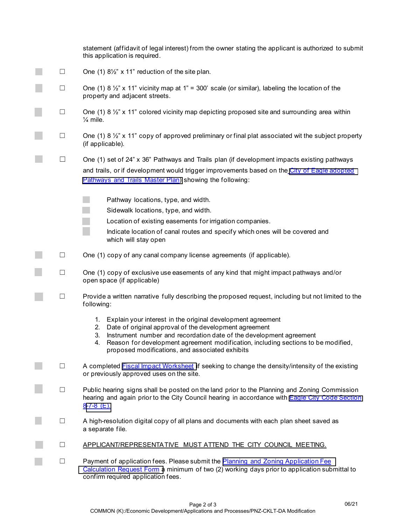|                          | statement (affidavit of legal interest) from the owner stating the applicant is authorized to submit<br>this application is required.                                                                                    |
|--------------------------|--------------------------------------------------------------------------------------------------------------------------------------------------------------------------------------------------------------------------|
| $\Box$                   | One (1) 81/2" x 11" reduction of the site plan.                                                                                                                                                                          |
| $\Box$                   | One (1) 8 $\frac{1}{2}$ " x 11" vicinity map at 1" = 300' scale (or similar), labeling the location of the<br>property and adjacent streets.                                                                             |
| $\Box$                   | One (1) 8 $\frac{1}{2}$ " x 11" colored vicinity map depicting proposed site and surrounding area within<br>$\frac{1}{4}$ mile.                                                                                          |
| $\Box$                   | One (1) 8 $\frac{1}{2}$ " x 11" copy of approved preliminary or final plat associated wit the subject property<br>(if applicable).                                                                                       |
| $\Box$                   | One (1) set of 24" x 36" Pathways and Trails plan (if development impacts existing pathways                                                                                                                              |
|                          | and trails, or if development would trigger improvements based on the City of Eagle adopted<br>Pathways and Trails Master Plan) showing the following:                                                                   |
|                          | Pathway locations, type, and width.                                                                                                                                                                                      |
|                          | Sidewalk locations, type, and width.                                                                                                                                                                                     |
|                          | Location of existing easements for irrigation companies.                                                                                                                                                                 |
|                          | Indicate location of canal routes and specify which ones will be covered and<br>which will stay open                                                                                                                     |
| $\overline{\phantom{a}}$ | One (1) copy of any canal company license agreements (if applicable).                                                                                                                                                    |
| $\Box$                   | One (1) copy of exclusive use easements of any kind that might impact pathways and/or<br>open space (if applicable)                                                                                                      |
| $\Box$                   | Provide a written narrative fully describing the proposed request, including but not limited to the<br>following:                                                                                                        |
|                          | Explain your interest in the original development agreement<br>$1_{\cdot}$<br>Date of original approval of the development agreement<br>2.                                                                               |
|                          | Instrument number and recordation date of the development agreement<br>3.<br>Reason for development agreement modification, including sections to be modified,<br>4.<br>proposed modifications, and associated exhibits  |
| $\Box$                   | A completed <b>Fiscal Impact Worksheet</b> if seeking to change the density/intensity of the existing<br>or previously approved uses on the site.                                                                        |
| $\Box$                   | Public hearing signs shall be posted on the land prior to the Planning and Zoning Commission<br>hearing and again prior to the City Council hearing in accordance with <b>Eagle City Code Section</b><br>$8-7-8$ (E).    |
| $\Box$                   | A high-resolution digital copy of all plans and documents with each plan sheet saved as<br>a separate file.                                                                                                              |
| $\Box$                   | APPLICANT/REPRESENTATIVE MUST ATTEND THE CITY COUNCIL MEETING.                                                                                                                                                           |
| $\Box$                   | Payment of application fees. Please submit the Planning and Zoning Application Fee<br>Calculation Request Form a minimum of two (2) working days prior to application submittal to<br>confirm required application fees. |